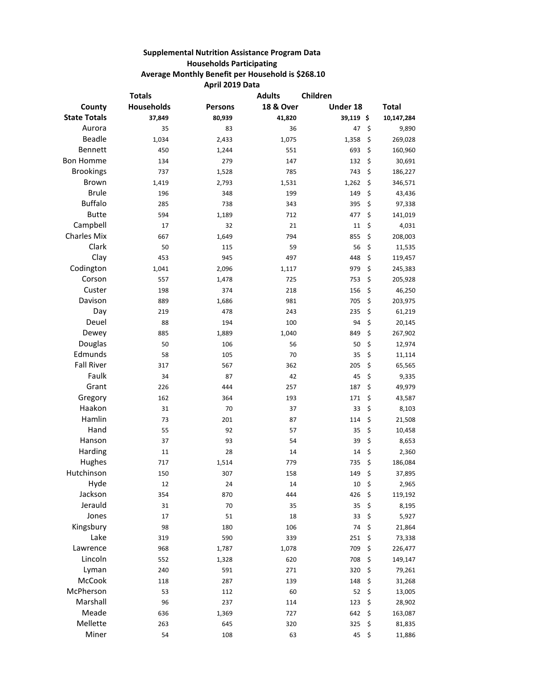## **Supplemental Nutrition Assistance Program Data Households Participating Average Monthly Benefit per Household is \$268.10 April 2019 Data**

|                     | <b>Totals</b> |                | <b>Adults</b> | Children |               |
|---------------------|---------------|----------------|---------------|----------|---------------|
| County              | Households    | <b>Persons</b> | 18 & Over     | Under 18 | Total         |
| <b>State Totals</b> | 37,849        | 80,939         | 41,820        | 39,119\$ | 10,147,284    |
| Aurora              | 35            | 83             | 36            | 47       | \$<br>9,890   |
| Beadle              | 1,034         | 2,433          | 1,075         | 1,358    | \$<br>269,028 |
| Bennett             | 450           | 1,244          | 551           | 693      | \$<br>160,960 |
| <b>Bon Homme</b>    | 134           | 279            | 147           | 132      | \$<br>30,691  |
| <b>Brookings</b>    | 737           | 1,528          | 785           | 743      | \$<br>186,227 |
| <b>Brown</b>        | 1,419         | 2,793          | 1,531         | 1,262    | \$<br>346,571 |
| <b>Brule</b>        | 196           | 348            | 199           | 149      | \$<br>43,436  |
| <b>Buffalo</b>      | 285           | 738            | 343           | 395      | \$<br>97,338  |
| <b>Butte</b>        | 594           | 1,189          | 712           | 477      | \$<br>141,019 |
| Campbell            | 17            | 32             | 21            | 11       | \$<br>4,031   |
| <b>Charles Mix</b>  | 667           | 1,649          | 794           | 855      | \$<br>208,003 |
| Clark               | 50            | 115            | 59            | 56       | \$<br>11,535  |
| Clay                | 453           | 945            | 497           | 448      | \$<br>119,457 |
| Codington           | 1,041         | 2,096          | 1,117         | 979      | \$<br>245,383 |
| Corson              | 557           | 1,478          | 725           | 753      | \$<br>205,928 |
| Custer              | 198           | 374            | 218           | 156      | \$<br>46,250  |
| Davison             | 889           | 1,686          | 981           | 705      | \$<br>203,975 |
| Day                 | 219           | 478            | 243           | 235      | \$<br>61,219  |
| Deuel               | 88            | 194            | 100           | 94       | \$<br>20,145  |
| Dewey               | 885           | 1,889          | 1,040         | 849      | \$<br>267,902 |
| Douglas             | 50            | 106            | 56            | 50       | \$<br>12,974  |
| Edmunds             | 58            | 105            | 70            | 35       | \$<br>11,114  |
| <b>Fall River</b>   | 317           | 567            | 362           | 205      | \$<br>65,565  |
| Faulk               | 34            | 87             | 42            | 45       | \$<br>9,335   |
| Grant               | 226           | 444            | 257           | 187      | \$<br>49,979  |
| Gregory             | 162           | 364            | 193           | 171      | \$<br>43,587  |
| Haakon              | 31            | 70             | 37            | 33       | \$<br>8,103   |
| Hamlin              | 73            | 201            | 87            | 114      | \$<br>21,508  |
| Hand                | 55            | 92             | 57            | 35       | \$<br>10,458  |
| Hanson              | 37            | 93             | 54            | 39       | \$<br>8,653   |
| Harding             | 11            | 28             | 14            | 14       | \$<br>2,360   |
| Hughes              | 717           | 1,514          | 779           | 735      | \$<br>186,084 |
| Hutchinson          | 150           | 307            | 158           | 149      | \$<br>37,895  |
| Hyde                | 12            | 24             | 14            | 10       | \$<br>2,965   |
| Jackson             | 354           | 870            | 444           | 426      | \$<br>119,192 |
| Jerauld             | 31            | 70             | 35            | 35       | \$<br>8,195   |
| Jones               | 17            | 51             | 18            | 33       | \$<br>5,927   |
| Kingsbury           | 98            | 180            | 106           | 74       | \$<br>21,864  |
| Lake                | 319           | 590            | 339           | 251      | \$<br>73,338  |
| Lawrence            | 968           | 1,787          | 1,078         | 709      | \$<br>226,477 |
| Lincoln             | 552           | 1,328          | 620           | 708      | \$<br>149,147 |
| Lyman               | 240           | 591            | 271           | 320      | \$<br>79,261  |
| McCook              | 118           | 287            | 139           | 148      | \$<br>31,268  |
| McPherson           | 53            | 112            | 60            | 52       | \$<br>13,005  |
| Marshall            | 96            | 237            | 114           | 123      | \$<br>28,902  |
| Meade               | 636           | 1,369          | 727           | 642      | \$<br>163,087 |
| Mellette            | 263           | 645            | 320           | 325      | \$<br>81,835  |
| Miner               | 54            | 108            | 63            | 45       | \$<br>11,886  |